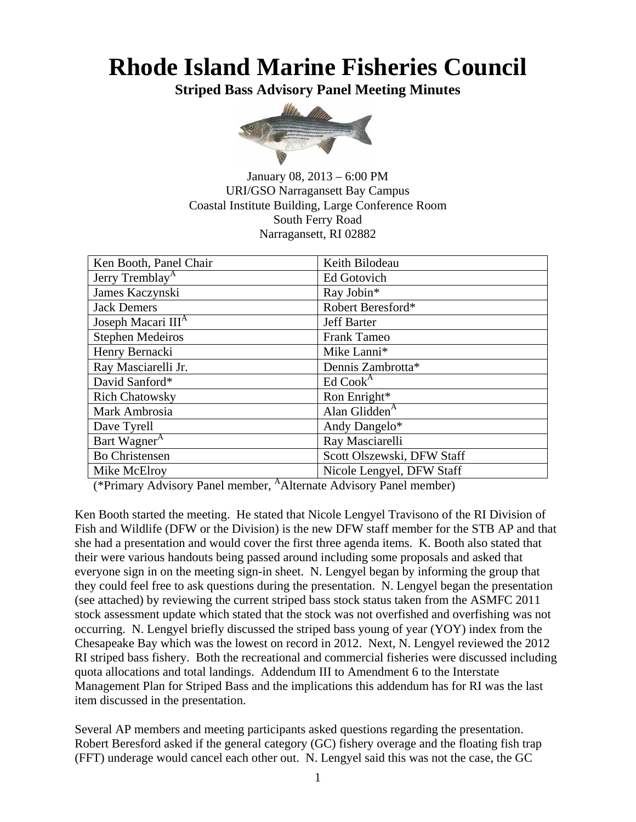#### **Rhode Island Marine Fisheries Council**

**Striped Bass Advisory Panel Meeting Minutes** 



January 08, 2013 – 6:00 PM URI/GSO Narragansett Bay Campus Coastal Institute Building, Large Conference Room South Ferry Road Narragansett, RI 02882

| Ken Booth, Panel Chair         | Keith Bilodeau             |  |  |
|--------------------------------|----------------------------|--|--|
| Jerry Tremblay <sup>A</sup>    | Ed Gotovich                |  |  |
| James Kaczynski                | Ray Jobin*                 |  |  |
| <b>Jack Demers</b>             | Robert Beresford*          |  |  |
| Joseph Macari III <sup>A</sup> | <b>Jeff Barter</b>         |  |  |
| <b>Stephen Medeiros</b>        | <b>Frank Tameo</b>         |  |  |
| Henry Bernacki                 | Mike Lanni*                |  |  |
| Ray Masciarelli Jr.            | Dennis Zambrotta*          |  |  |
| David Sanford*                 | Ed $CookA$                 |  |  |
| <b>Rich Chatowsky</b>          | Ron Enright*               |  |  |
| Mark Ambrosia                  | Alan Glidden $A$           |  |  |
| Dave Tyrell                    | Andy Dangelo*              |  |  |
| Bart Wagner <sup>A</sup>       | Ray Masciarelli            |  |  |
| <b>Bo Christensen</b>          | Scott Olszewski, DFW Staff |  |  |
| Mike McElroy                   | Nicole Lengyel, DFW Staff  |  |  |

(\*Primary Advisory Panel member, AAlternate Advisory Panel member)

Ken Booth started the meeting. He stated that Nicole Lengyel Travisono of the RI Division of Fish and Wildlife (DFW or the Division) is the new DFW staff member for the STB AP and that she had a presentation and would cover the first three agenda items. K. Booth also stated that their were various handouts being passed around including some proposals and asked that everyone sign in on the meeting sign-in sheet. N. Lengyel began by informing the group that they could feel free to ask questions during the presentation. N. Lengyel began the presentation (see attached) by reviewing the current striped bass stock status taken from the ASMFC 2011 stock assessment update which stated that the stock was not overfished and overfishing was not occurring. N. Lengyel briefly discussed the striped bass young of year (YOY) index from the Chesapeake Bay which was the lowest on record in 2012. Next, N. Lengyel reviewed the 2012 RI striped bass fishery. Both the recreational and commercial fisheries were discussed including quota allocations and total landings. Addendum III to Amendment 6 to the Interstate Management Plan for Striped Bass and the implications this addendum has for RI was the last item discussed in the presentation.

Several AP members and meeting participants asked questions regarding the presentation. Robert Beresford asked if the general category (GC) fishery overage and the floating fish trap (FFT) underage would cancel each other out. N. Lengyel said this was not the case, the GC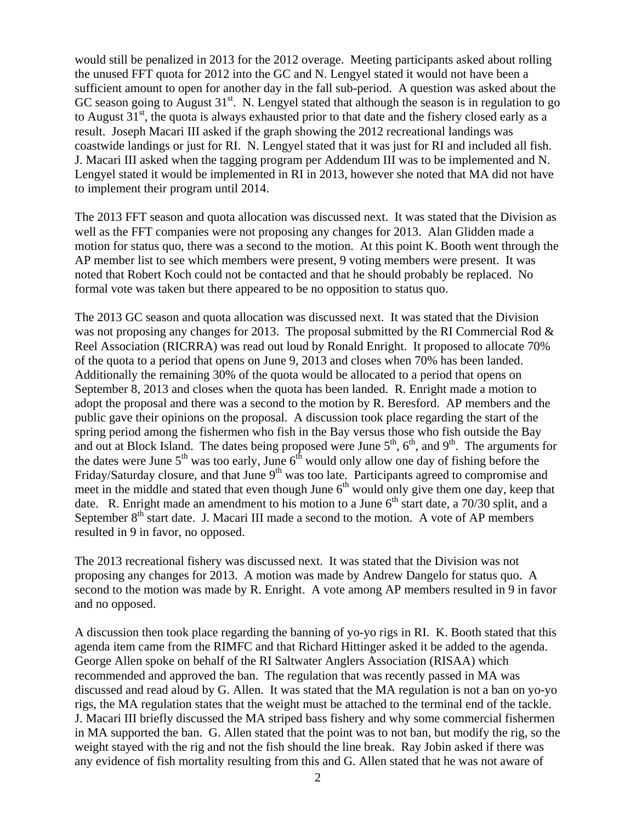would still be penalized in 2013 for the 2012 overage. Meeting participants asked about rolling the unused FFT quota for 2012 into the GC and N. Lengyel stated it would not have been a sufficient amount to open for another day in the fall sub-period. A question was asked about the GC season going to August  $31<sup>st</sup>$ . N. Lengyel stated that although the season is in regulation to go to August  $31<sup>st</sup>$ , the quota is always exhausted prior to that date and the fishery closed early as a result. Joseph Macari III asked if the graph showing the 2012 recreational landings was coastwide landings or just for RI. N. Lengyel stated that it was just for RI and included all fish. J. Macari III asked when the tagging program per Addendum III was to be implemented and N. Lengyel stated it would be implemented in RI in 2013, however she noted that MA did not have to implement their program until 2014.

The 2013 FFT season and quota allocation was discussed next. It was stated that the Division as well as the FFT companies were not proposing any changes for 2013. Alan Glidden made a motion for status quo, there was a second to the motion. At this point K. Booth went through the AP member list to see which members were present, 9 voting members were present. It was noted that Robert Koch could not be contacted and that he should probably be replaced. No formal vote was taken but there appeared to be no opposition to status quo.

The 2013 GC season and quota allocation was discussed next. It was stated that the Division was not proposing any changes for 2013. The proposal submitted by the RI Commercial Rod  $\&$ Reel Association (RICRRA) was read out loud by Ronald Enright. It proposed to allocate 70% of the quota to a period that opens on June 9, 2013 and closes when 70% has been landed. Additionally the remaining 30% of the quota would be allocated to a period that opens on September 8, 2013 and closes when the quota has been landed. R. Enright made a motion to adopt the proposal and there was a second to the motion by R. Beresford. AP members and the public gave their opinions on the proposal. A discussion took place regarding the start of the spring period among the fishermen who fish in the Bay versus those who fish outside the Bay and out at Block Island. The dates being proposed were June  $5<sup>th</sup>$ ,  $6<sup>th</sup>$ , and  $9<sup>th</sup>$ . The arguments for the dates were June  $5<sup>th</sup>$  was too early, June  $6<sup>th</sup>$  would only allow one day of fishing before the Friday/Saturday closure, and that June  $9<sup>th</sup>$  was too late. Participants agreed to compromise and meet in the middle and stated that even though June  $6<sup>th</sup>$  would only give them one day, keep that date. R. Enright made an amendment to his motion to a June  $6<sup>th</sup>$  start date, a 70/30 split, and a September  $8<sup>th</sup>$  start date. J. Macari III made a second to the motion. A vote of AP members resulted in 9 in favor, no opposed.

The 2013 recreational fishery was discussed next. It was stated that the Division was not proposing any changes for 2013. A motion was made by Andrew Dangelo for status quo. A second to the motion was made by R. Enright. A vote among AP members resulted in 9 in favor and no opposed.

A discussion then took place regarding the banning of yo-yo rigs in RI. K. Booth stated that this agenda item came from the RIMFC and that Richard Hittinger asked it be added to the agenda. George Allen spoke on behalf of the RI Saltwater Anglers Association (RISAA) which recommended and approved the ban. The regulation that was recently passed in MA was discussed and read aloud by G. Allen. It was stated that the MA regulation is not a ban on yo-yo rigs, the MA regulation states that the weight must be attached to the terminal end of the tackle. J. Macari III briefly discussed the MA striped bass fishery and why some commercial fishermen in MA supported the ban. G. Allen stated that the point was to not ban, but modify the rig, so the weight stayed with the rig and not the fish should the line break. Ray Jobin asked if there was any evidence of fish mortality resulting from this and G. Allen stated that he was not aware of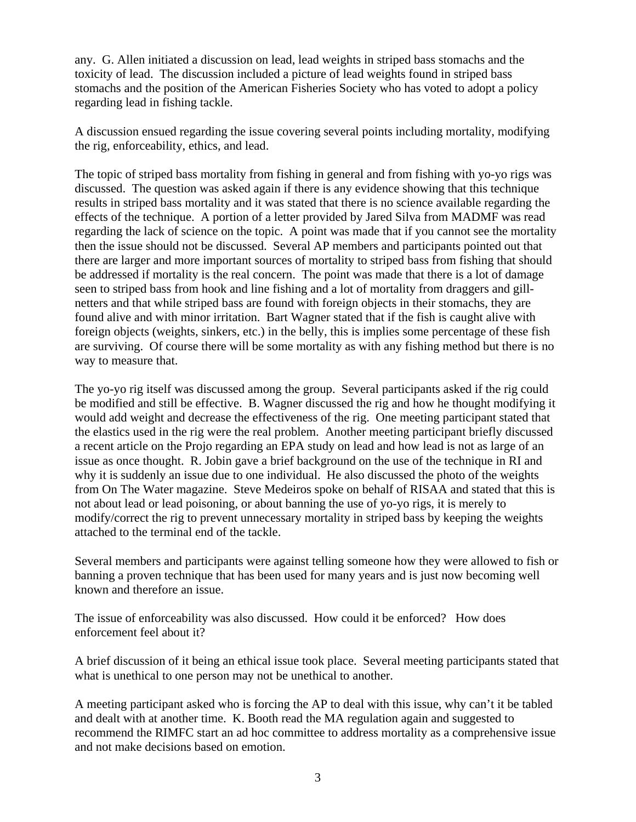any. G. Allen initiated a discussion on lead, lead weights in striped bass stomachs and the toxicity of lead. The discussion included a picture of lead weights found in striped bass stomachs and the position of the American Fisheries Society who has voted to adopt a policy regarding lead in fishing tackle.

A discussion ensued regarding the issue covering several points including mortality, modifying the rig, enforceability, ethics, and lead.

The topic of striped bass mortality from fishing in general and from fishing with yo-yo rigs was discussed. The question was asked again if there is any evidence showing that this technique results in striped bass mortality and it was stated that there is no science available regarding the effects of the technique. A portion of a letter provided by Jared Silva from MADMF was read regarding the lack of science on the topic. A point was made that if you cannot see the mortality then the issue should not be discussed. Several AP members and participants pointed out that there are larger and more important sources of mortality to striped bass from fishing that should be addressed if mortality is the real concern. The point was made that there is a lot of damage seen to striped bass from hook and line fishing and a lot of mortality from draggers and gillnetters and that while striped bass are found with foreign objects in their stomachs, they are found alive and with minor irritation. Bart Wagner stated that if the fish is caught alive with foreign objects (weights, sinkers, etc.) in the belly, this is implies some percentage of these fish are surviving. Of course there will be some mortality as with any fishing method but there is no way to measure that.

The yo-yo rig itself was discussed among the group. Several participants asked if the rig could be modified and still be effective. B. Wagner discussed the rig and how he thought modifying it would add weight and decrease the effectiveness of the rig. One meeting participant stated that the elastics used in the rig were the real problem. Another meeting participant briefly discussed a recent article on the Projo regarding an EPA study on lead and how lead is not as large of an issue as once thought. R. Jobin gave a brief background on the use of the technique in RI and why it is suddenly an issue due to one individual. He also discussed the photo of the weights from On The Water magazine. Steve Medeiros spoke on behalf of RISAA and stated that this is not about lead or lead poisoning, or about banning the use of yo-yo rigs, it is merely to modify/correct the rig to prevent unnecessary mortality in striped bass by keeping the weights attached to the terminal end of the tackle.

Several members and participants were against telling someone how they were allowed to fish or banning a proven technique that has been used for many years and is just now becoming well known and therefore an issue.

The issue of enforceability was also discussed. How could it be enforced? How does enforcement feel about it?

A brief discussion of it being an ethical issue took place. Several meeting participants stated that what is unethical to one person may not be unethical to another.

A meeting participant asked who is forcing the AP to deal with this issue, why can't it be tabled and dealt with at another time. K. Booth read the MA regulation again and suggested to recommend the RIMFC start an ad hoc committee to address mortality as a comprehensive issue and not make decisions based on emotion.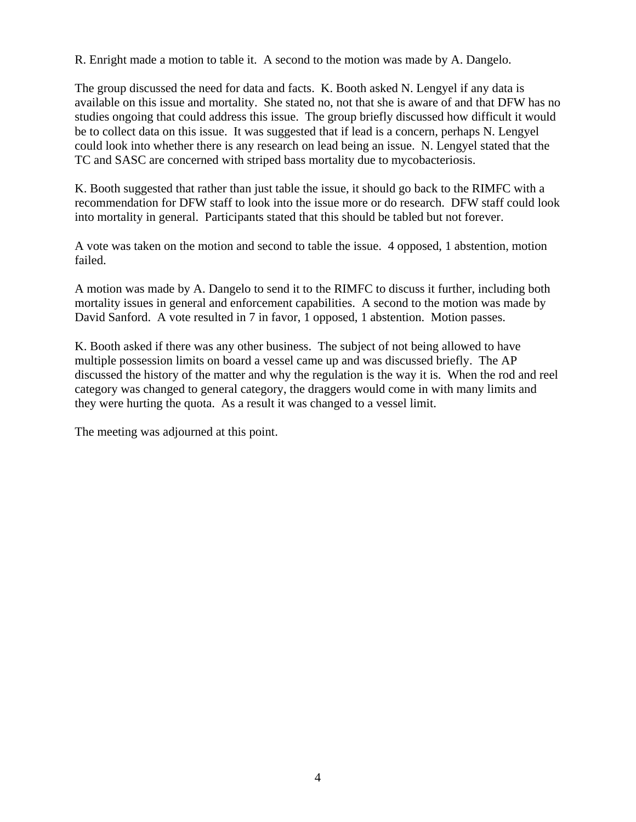R. Enright made a motion to table it. A second to the motion was made by A. Dangelo.

The group discussed the need for data and facts. K. Booth asked N. Lengyel if any data is available on this issue and mortality. She stated no, not that she is aware of and that DFW has no studies ongoing that could address this issue. The group briefly discussed how difficult it would be to collect data on this issue. It was suggested that if lead is a concern, perhaps N. Lengyel could look into whether there is any research on lead being an issue. N. Lengyel stated that the TC and SASC are concerned with striped bass mortality due to mycobacteriosis.

K. Booth suggested that rather than just table the issue, it should go back to the RIMFC with a recommendation for DFW staff to look into the issue more or do research. DFW staff could look into mortality in general. Participants stated that this should be tabled but not forever.

A vote was taken on the motion and second to table the issue. 4 opposed, 1 abstention, motion failed.

A motion was made by A. Dangelo to send it to the RIMFC to discuss it further, including both mortality issues in general and enforcement capabilities. A second to the motion was made by David Sanford. A vote resulted in 7 in favor, 1 opposed, 1 abstention. Motion passes.

K. Booth asked if there was any other business. The subject of not being allowed to have multiple possession limits on board a vessel came up and was discussed briefly. The AP discussed the history of the matter and why the regulation is the way it is. When the rod and reel category was changed to general category, the draggers would come in with many limits and they were hurting the quota. As a result it was changed to a vessel limit.

The meeting was adjourned at this point.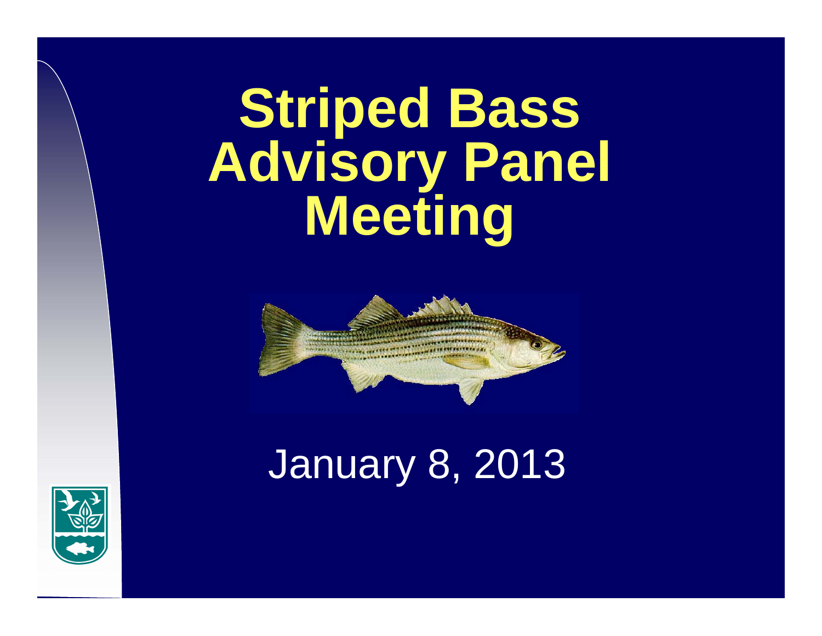## **Striped Bass Advisory Panel Meeting**



## January 8, 2013

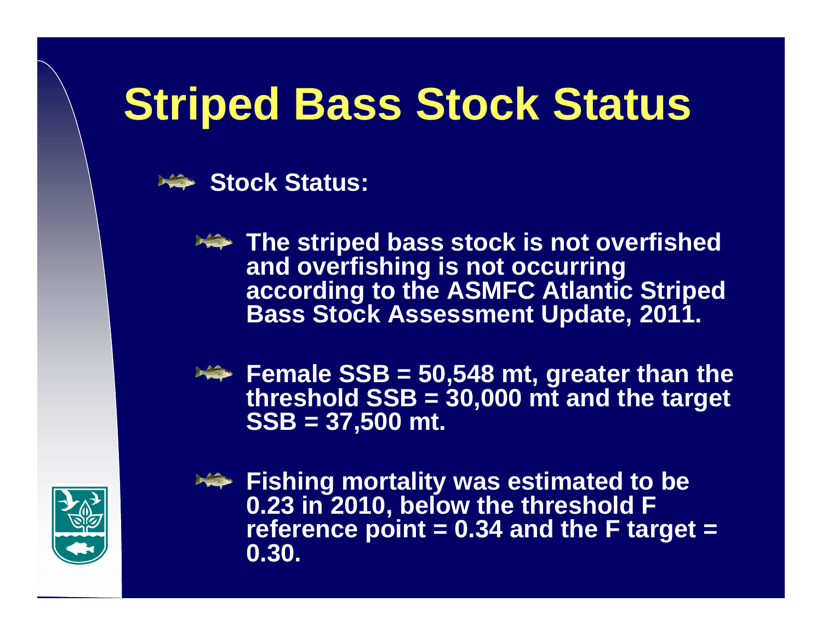## **Striped Bass Stock Status**

Stock Status:

**The striped bass stock is not overfished and overfishing is not occurring according to the ASMFC Atlantic Striped Bass Stock Assessment Update, 2011.** 



Female SSB = 50,548 mt, greater than the **threshold SSB = 30,000 mt and the target SSB = 37,500 mt.**



**Fishing mortality was estimated to be 0.23 in 2010, below the threshold F reference point = 0.34 and the F target = 0.30.**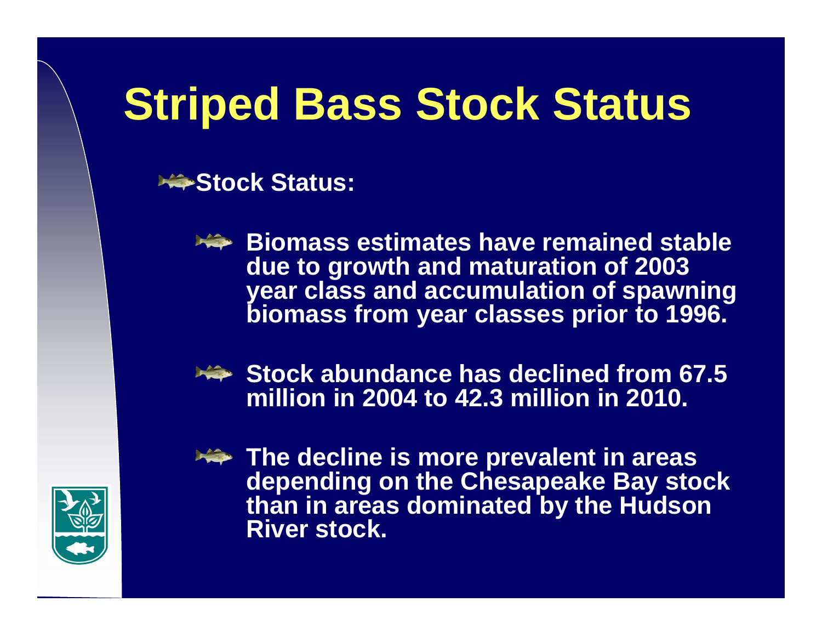## **Striped Bass Stock Status**

Stock Status:



**Biomass estimates have remained stable due to growth and maturation of 2003 year class and accumulation of spawning biomass from year classes prior to 1996.**



**Stock abundance has declined from 67.5 million in 2004 to 42.3 million in 2010.**



**The decline is more prevalent in areas depending on the Chesapeake Bay stock than in areas dominated by the Hudson River stock.**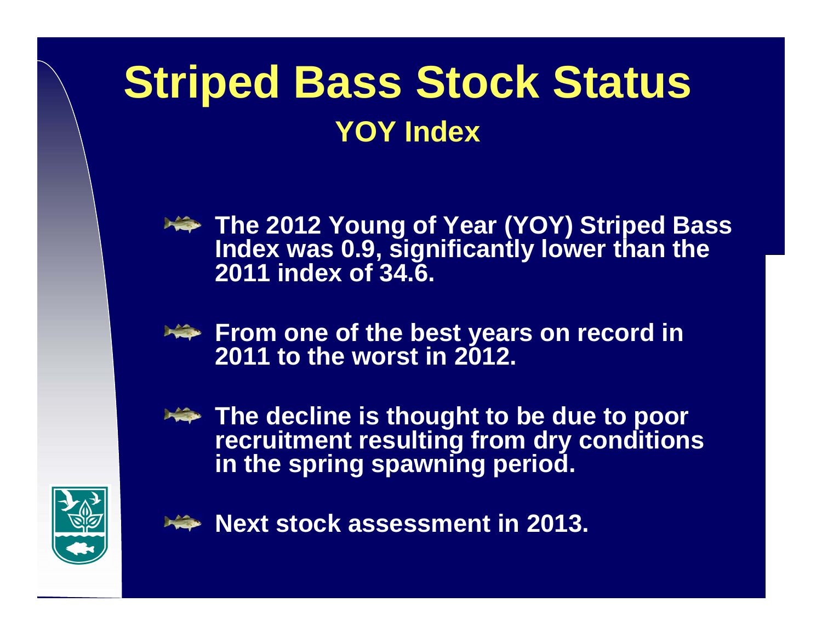## **Striped Bass Stock Status YOY Index**

**The 2012 Young of Year (YOY) Striped Bass Index was 0.9, significantly lower than the 2011 index of 34.6.**



**The decline is thought to be due to poor recruitment resulting from dry conditions in the spring spawning period.**



**Next stock assessment in 2013.**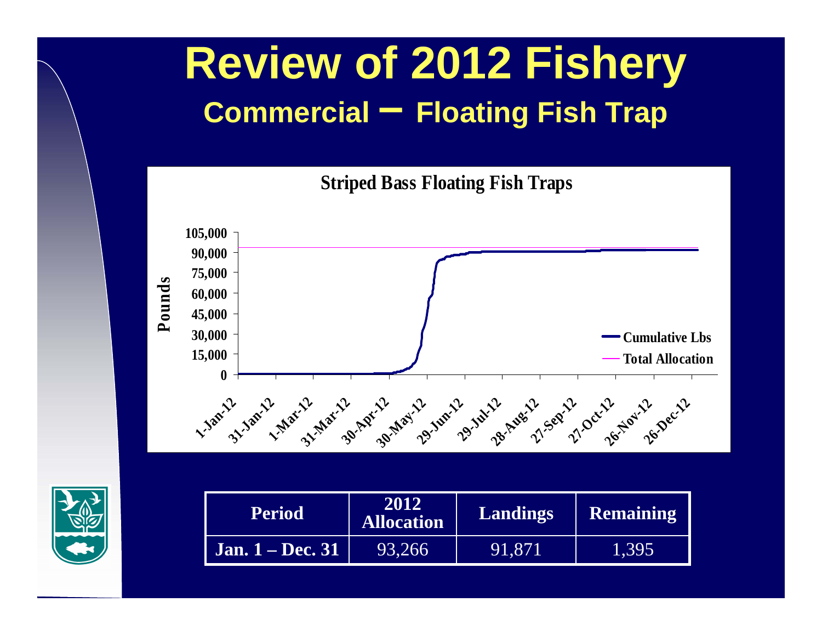## **Review of 2012 Fishery Commercial – Floating Fish Trap**







| <b>Period</b>           | 2012<br><b>Allocation</b> |         | <b>Remaining</b> |
|-------------------------|---------------------------|---------|------------------|
| <b>Jan. 1 – Dec. 31</b> | 93,266                    | 191,871 | 1,395            |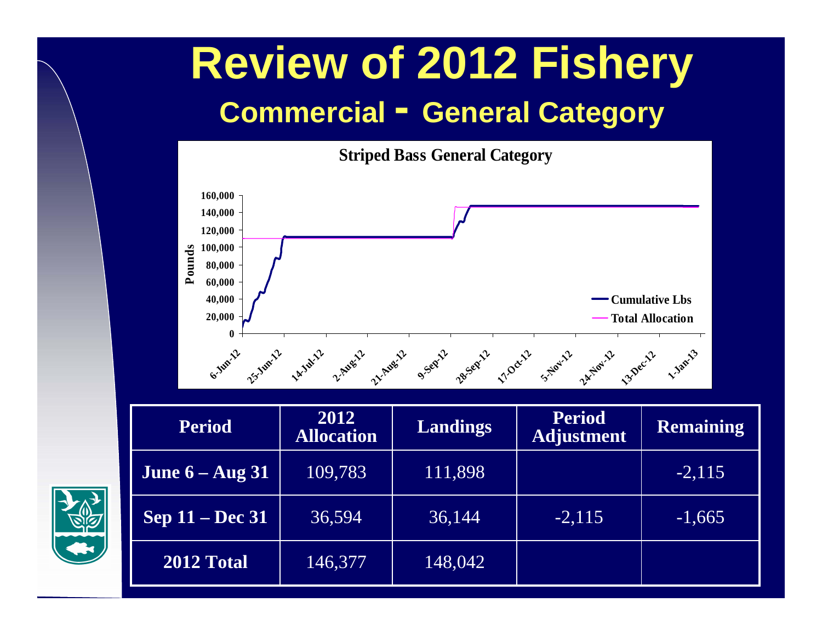## **Review of 2012 Fishery Commercial - General Category**



| <b>Period</b>          | 2012<br><b>Allocation</b> | <b>Landings</b> | <b>Period</b><br><b>Adjustment</b> | Remaining |
|------------------------|---------------------------|-----------------|------------------------------------|-----------|
| June $6 - Aug 31$      | 109,783                   | 111,898         |                                    | $-2,115$  |
| <b>Sep 11 – Dec 31</b> | 36,594                    | 36,144          | $-2,115$                           | $-1,665$  |
| 2012 Total             | 146,377                   | 148,042         |                                    |           |

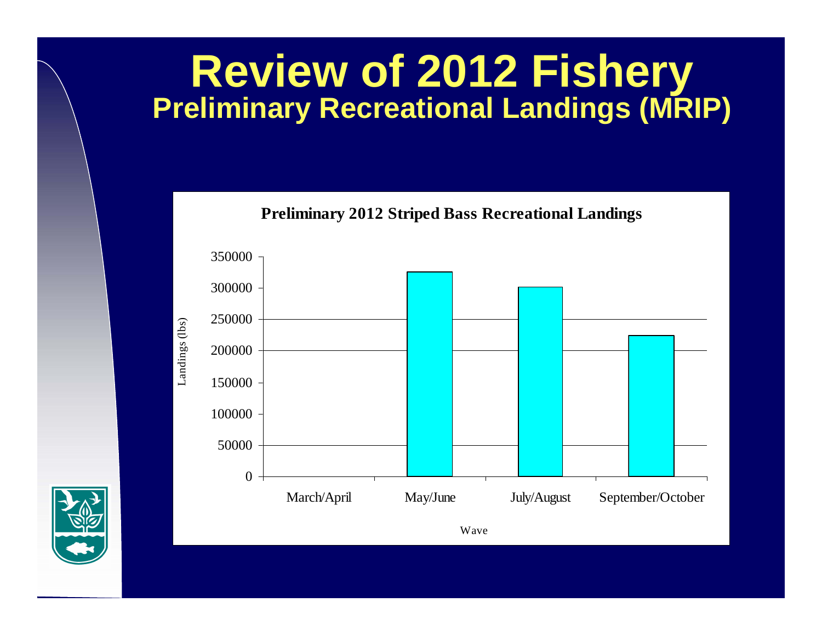# **Review of 2012 Fishery Preliminary Recreational Landings (MRIP)**



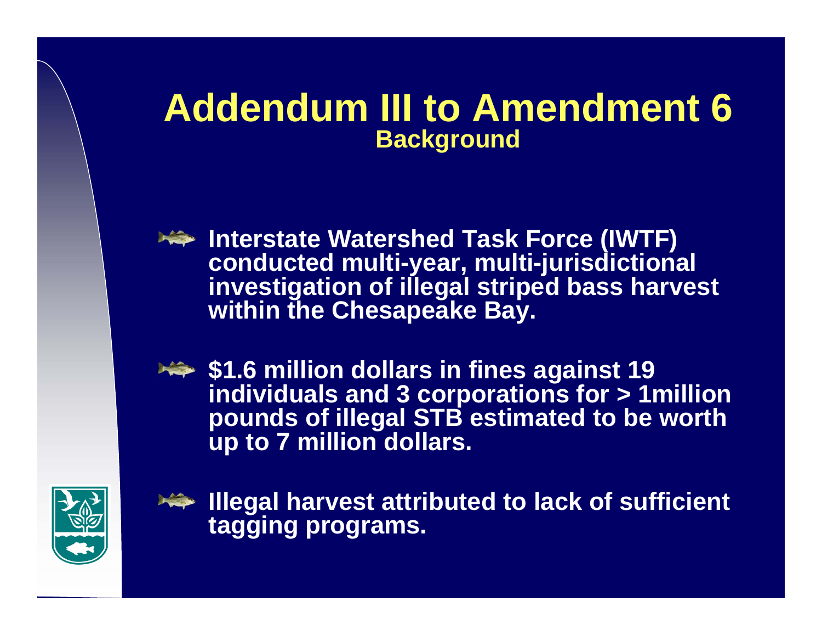#### **Addendum III to Amendment 6 Background**

**Interstate Watershed Task Force (IWTF) conducted multi-year, multi-jurisdictional investigation of illegal striped bass harvest within the Chesapeake Bay.**

**\$1.6 million dollars in fines against 19 individuals and 3 corporations for > 1million pounds of illegal STB estimated to be worth up to 7 million dollars.**



**Illegal harvest attributed to lack of sufficient tagging programs.**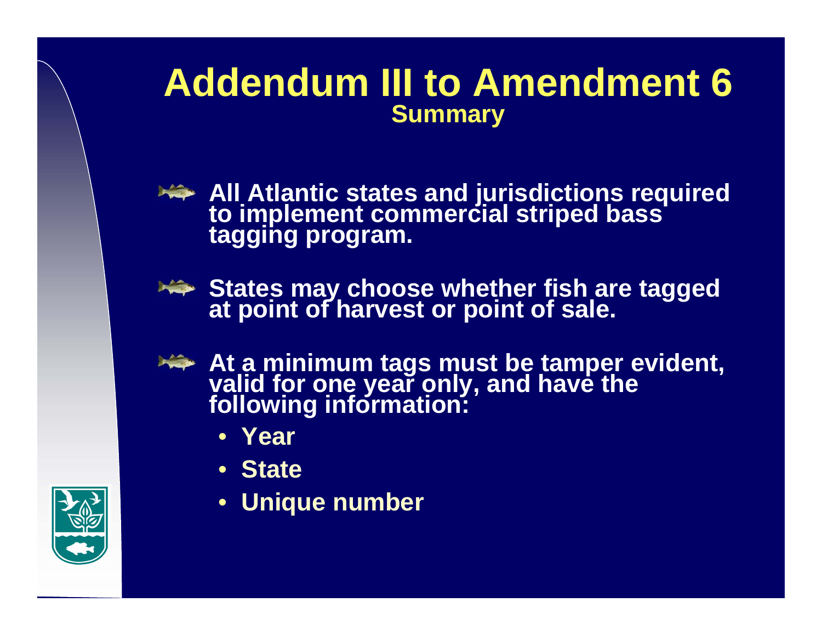#### **Addendum III to Amendment 6 Summary**



**All Atlantic states and jurisdictions required to implement commercial striped bass tagging program.**



**States may choose whether fish are tagged at point of harvest or point of sale.** 



- **At a minimum tags must be tamper evident, valid for one year only, and have the following information:**
	- **Year**
	- **State**
	- **Unique number**

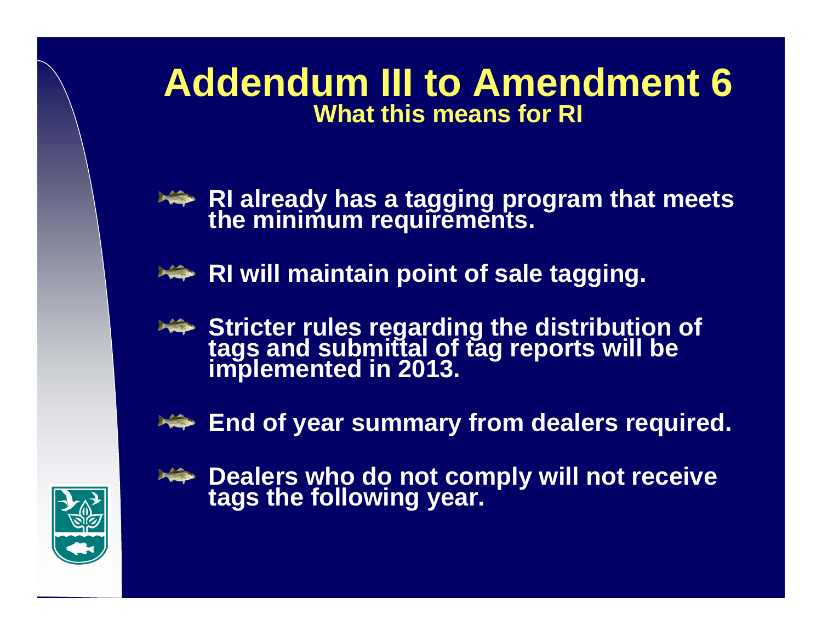#### **Addendum III to Amendment 6 What this means for RI**

- **RI already has a tagging program that meets the minimum requirements.**
- **RI will maintain point of sale tagging.**
- **Stricter rules regarding the distribution of tags and submittal of tag reports will be implemented in 2013.**
- **End of year summary from dealers required.**



**Dealers who do not comply will not receive tags the following year.**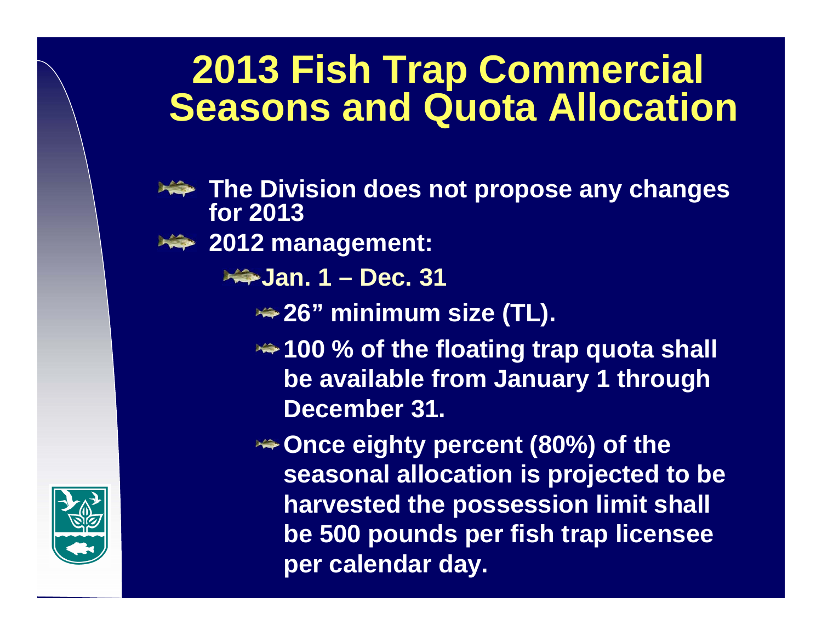### **2013 Fish Trap Commercial Seasons and Quota Allocation**

- **The Division does not propose any changes for 2013**
- **2012 management:** 
	- **Jan. 1 – Dec. 31**
		- **26" minimum size (TL).**
		- **<del><del>1</del>∞ 100 % of the floating trap quota shall**</del> **be available from January 1 through December 31.**
		- **Once eighty percent (80%) of the seasonal allocation is projected to be harvested the possession limit shall be 500 pounds per fish trap licensee per calendar day.**

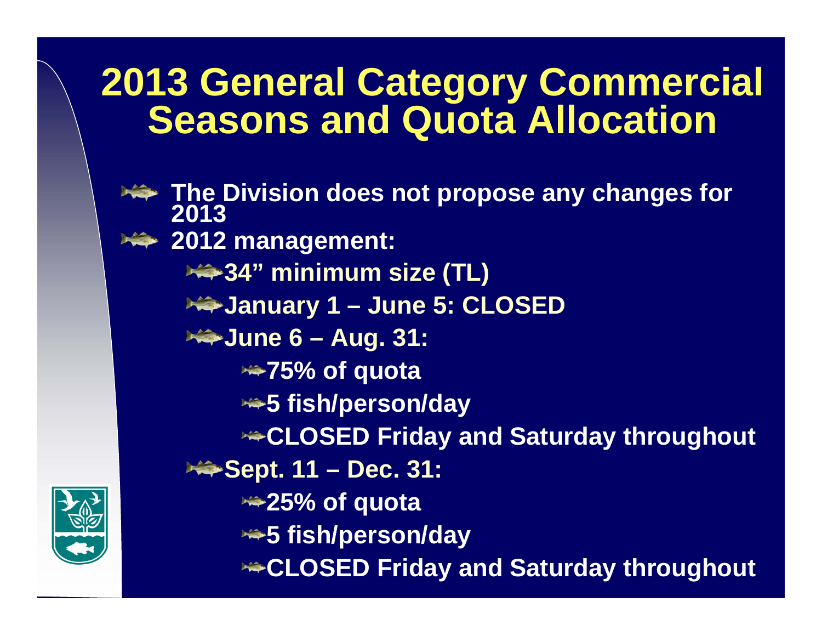### **2013 General Category Commercial Seasons and Quota Allocation**

**The Division does not propose any changes for 2013 2012 management: 34" minimum size (TL) January 1 – June 5: CLOSED June 6 – Aug. 31: 75% of quota 5 fish/person/day CLOSED Friday and Saturday throughout** <del>**<del></del> ◆</del> Sept. 11 – Dec. 31:**</del> **25% of quota 5 fish/person/day CLOSED Friday and Saturday throughout**

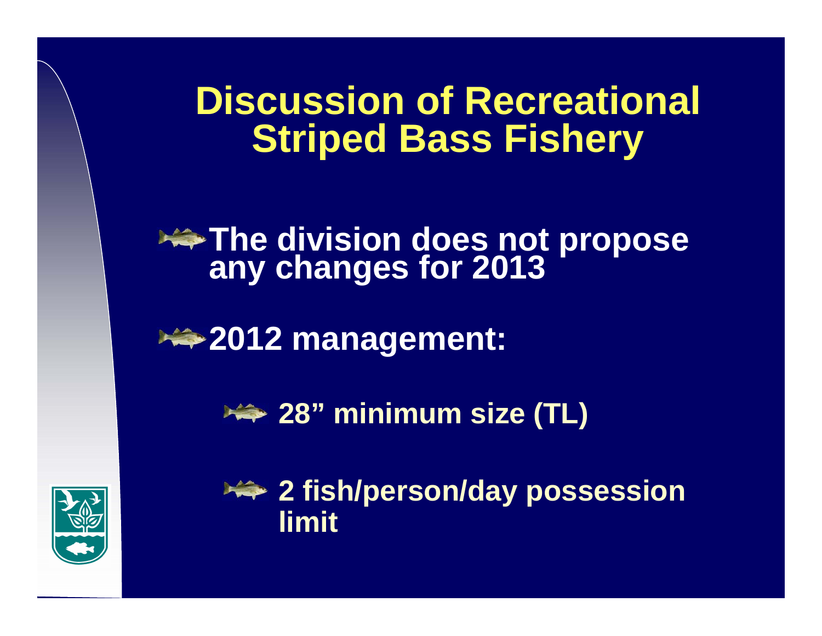### **Discussion of Recreational Striped Bass Fishery**

## **The division does not propose**<br>any changes for 2013

**2012 management:** 





**2 fish/person/day possession limit**